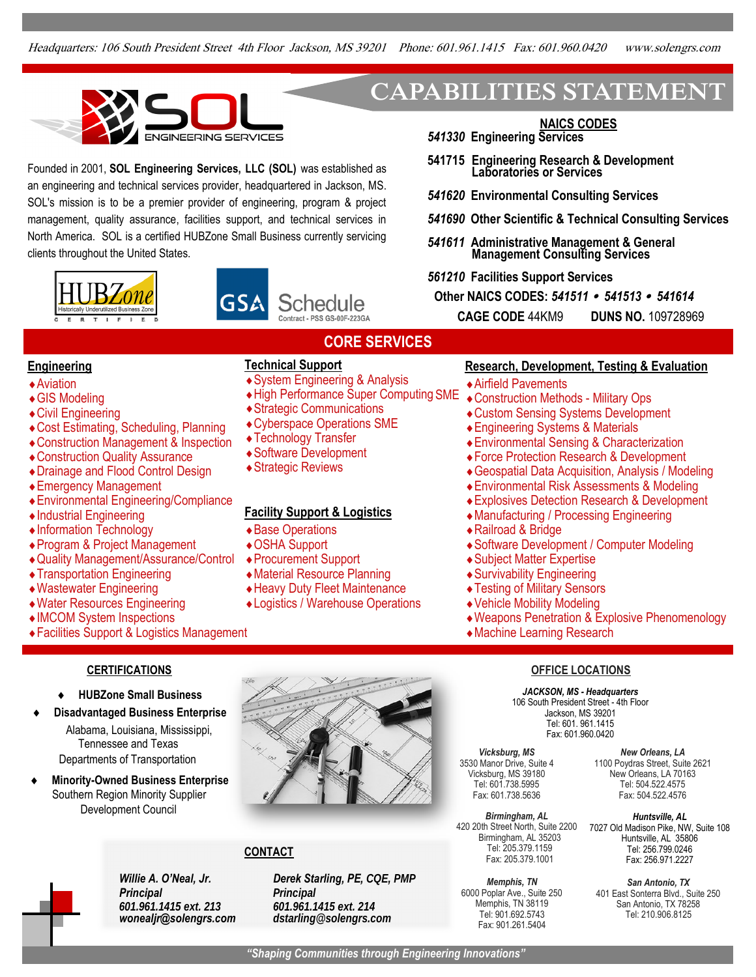**CORE SERVICES**



Founded in 2001, **SOL Engineering Services, LLC (SOL)** was established as an engineering and technical services provider, headquartered in Jackson, MS. SOL's mission is to be a premier provider of engineering, program & project management, quality assurance, facilities support, and technical services in North America. SOL is a certified HUBZone Small Business currently servicing clients throughout the United States.





Strategic Communications

# **CAPABILITIES STATEMENT**

**NAICS CODES** *541330* **Engineering Services**

- **541715 Engineering Research & Development Laboratories or Services**
- *541620* **Environmental Consulting Services**
- *541690* **Other Scientific & Technical Consulting Services**
- *541611* **Administrative Management & General Management Consulting Services**

*561210* **Facilities Support Services**

**Other NAICS CODES:** *541511 541513 541614*

**CAGE CODE** 44KM9 **DUNS NO.** 109728969

## **Engineering Technical Support**

- Aviation System Engineering & Analysis
- ◆ GIS Modeling → High Performance Super Computing SME
- Civil Engineering
- $\begin{array}{ll}\n\text{\textendash}}\n\begin{array}{ll}\n\text{Cost Estimating, Scheduling, Planning} & \text{\textendash}}\n\begin{array}{ll}\n\text{Cylberspace Operations SME} \\
\text{Construction Management & Insertition} \\
\text{Manalement & Insertition} \\
\text{Coulombogy Transfer} \\
\text{Coulombogy Transfer} \\
\text{Coulombogy Transfer} \\
\text{Coulombogy Transfer} \\
\text{Coulombogy Transfer} \\
\text{Coulombogy} \\
\text{Coulombogy} \\
\text{Coulombogy} \\
\text{Coulombogy} \\
\text{Coulombogy} \\
\text{Coulombogy} \\
\text{Coulombogy} \\
\$
- Construction Management & Inspection (The Perinology Transfer and Construction Ouglity Assurance
- Construction Quality Assurance Software Development Software Oevelopment Software Development Software Development Software Development Software Development Software Development Software Development Software Development S
- $\bullet$  Drainage and Flood Control Design
- Emergency Management
- Environmental Engineering/Compliance
- Industrial Engineering **Facility Support & Logistics**
- ◆ Information Technology → Base Operations
- ◆ Program & Project Management ◆ OSHA Support
- ◆ Quality Management/Assurance/Control ◆ Procurement Support
- Transportation Engineering  **Material Resource Planning**
- Wastewater Engineering • • Heavy Duty Fleet Maintenance
- Water Resources Engineering Logistics / Warehouse Operations
- IMCOM System Inspections
- Facilities Support & Logistics Management

### **CERTIFICATIONS**

- **HUBZone Small Business**
- **Disadvantaged Business Enterprise**
	- Alabama, Louisiana, Mississippi, Tennessee and Texas Departments of Transportation
- **Minority-Owned Business Enterprise** Southern Region Minority Supplier Development Council



## **CONTACT**

*Derek Starling, PE, CQE, PMP Principal 601.961.1415 ext. 214 dstarling@solengrs.com*

#### **Research, Development, Testing & Evaluation**

Airfield Pavements

- Construction Methods Military Ops
- Custom Sensing Systems Development
- Engineering Systems & Materials
- Environmental Sensing & Characterization
- Force Protection Research & Development
- Geospatial Data Acquisition, Analysis / Modeling
- Environmental Risk Assessments & Modeling
- Explosives Detection Research & Development
- Manufacturing / Processing Engineering
- Railroad & Bridge
- Software Development / Computer Modeling
- Subject Matter Expertise
- Survivability Engineering
- Testing of Military Sensors
- Vehicle Mobility Modeling
- Weapons Penetration & Explosive Phenomenology
- Machine Learning Research

#### **OFFICE LOCATIONS**

*JACKSON, MS - Headquarters* 106 South President Street - 4th Floor Jackson, MS 39201 Tel: 601. 961.1415 Fax: 601.960.0420

*Vicksburg, MS* 3530 Manor Drive, Suite 4 Vicksburg, MS 39180 Tel: 601.738.5995 Fax: 601.738.5636

*Birmingham, AL*  420 20th Street North, Suite 2200 Birmingham, AL 35203 Tel: 205.379.1159 Fax: 205.379.1001

*Memphis, TN* 6000 Poplar Ave., Suite 250 Memphis, TN 38119 Tel: 901.692.5743 Fax: 901.261.5404

*New Orleans, LA* 1100 Poydras Street, Suite 2621 New Orleans, LA 70163 Tel: 504.522.4575 Fax: 504.522.4576

*Huntsville, AL* 7027 Old Madison Pike, NW, Suite 108 Huntsville, AL 35806 Tel: 256.799.0246 Fax: 256.971.2227

*San Antonio, TX*  401 East Sonterra Blvd., Suite 250 San Antonio, TX 78258 Tel: 210.906.8125

*Willie A. O'Neal, Jr. Principal 601.961.1415 ext. 213 wonealjr@solengrs.com*

## *"Shaping Communities through Engineering Innovations"*